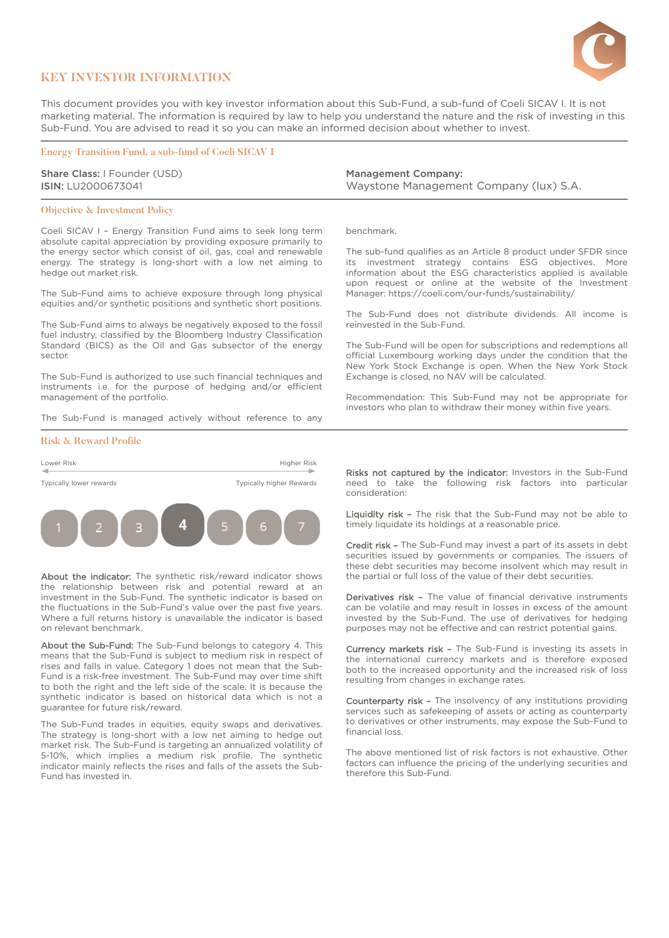

## **KEY INVESTOR INFORMATION**

This document provides you with key investor information about this Sub-Fund, a sub-fund of Coeli SICAV I. It is not marketing material. The information is required by law to help you understand the nature and the risk of investing in this Sub-Fund. You are advised to read it so you can make an informed decision about whether to invest.

### **Energy Transition Fund, a sub-fund of Coeli SICAV I**

Share Class: I Founder (USD) ISIN: LU2000673041

### **Objective & Investment Policy**

Coeli SICAV I – Energy Transition Fund aims to seek long term absolute capital appreciation by providing exposure primarily to the energy sector which consist of oil, gas, coal and renewable energy. The strategy is long-short with a low net aiming to hedge out market risk.

The Sub-Fund aims to achieve exposure through long physical equities and/or synthetic positions and synthetic short positions.

The Sub-Fund aims to always be negatively exposed to the fossil fuel industry, classified by the Bloomberg Industry Classification Standard (BICS) as the Oil and Gas subsector of the energy sector.

The Sub-Fund is authorized to use such financial techniques and instruments i.e. for the purpose of hedging and/or efficient management of the portfolio.

The Sub-Fund is managed actively without reference to any

#### **Risk & Reward Profile**



About the indicator: The synthetic risk/reward indicator shows the relationship between risk and potential reward at an investment in the Sub-Fund. The synthetic indicator is based on the fluctuations in the Sub-Fund's value over the past five years. Where a full returns history is unavailable the indicator is based on relevant benchmark.

About the Sub-Fund: The Sub-Fund belongs to category 4. This means that the Sub-Fund is subject to medium risk in respect of rises and falls in value. Category 1 does not mean that the Sub-Fund is a risk-free investment. The Sub-Fund may over time shift to both the right and the left side of the scale. It is because the synthetic indicator is based on historical data which is not a guarantee for future risk/reward.

The Sub-Fund trades in equities, equity swaps and derivatives. The strategy is long-short with a low net aiming to hedge out market risk. The Sub-Fund is targeting an annualized volatility of 5-10%, which implies a medium risk profile. The synthetic indicator mainly reflects the rises and falls of the assets the Sub-Fund has invested in.

Management Company: Waystone Management Company (lux) S.A.

benchmark.

The sub-fund qualifies as an Article 8 product under SFDR since its investment strategy contains ESG objectives. More information about the ESG characteristics applied is available upon request or online at the website of the Investment Manager: <https://coeli.com/our-funds/sustainability/>

The Sub-Fund does not distribute dividends. All income is reinvested in the Sub-Fund.

The Sub-Fund will be open for subscriptions and redemptions all official Luxembourg working days under the condition that the New York Stock Exchange is open. When the New York Stock Exchange is closed, no NAV will be calculated.

Recommendation: This Sub-Fund may not be appropriate for investors who plan to withdraw their money within five years.

Risks not captured by the indicator: Investors in the Sub-Fund need to take the following risk factors into particular consideration:

Liquidity risk - The risk that the Sub-Fund may not be able to timely liquidate its holdings at a reasonable price.

Credit risk – The Sub-Fund may invest a part of its assets in debt securities issued by governments or companies. The issuers of these debt securities may become insolvent which may result in the partial or full loss of the value of their debt securities.

Derivatives risk - The value of financial derivative instruments can be volatile and may result in losses in excess of the amount invested by the Sub-Fund. The use of derivatives for hedging purposes may not be effective and can restrict potential gains.

Currency markets risk – The Sub-Fund is investing its assets in the international currency markets and is therefore exposed both to the increased opportunity and the increased risk of loss resulting from changes in exchange rates.

Counterparty risk - The insolvency of any institutions providing services such as safekeeping of assets or acting as counterparty to derivatives or other instruments, may expose the Sub-Fund to financial loss.

The above mentioned list of risk factors is not exhaustive. Other factors can influence the pricing of the underlying securities and therefore this Sub-Fund.